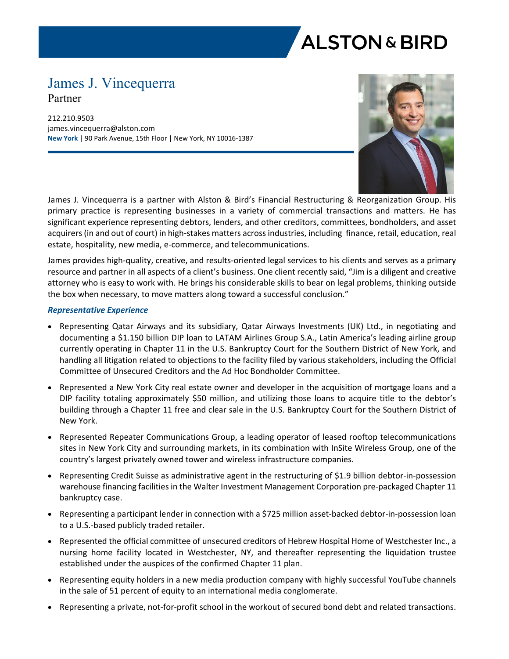# **ALSTON & BIRD**

## James J. Vincequerra Partner

212.210.9503 james.vincequerra@alston.com **New York** | 90 Park Avenue, 15th Floor | New York, NY 10016-1387



James J. Vincequerra is a partner with Alston & Bird's Financial Restructuring & Reorganization Group. His primary practice is representing businesses in a variety of commercial transactions and matters. He has significant experience representing debtors, lenders, and other creditors, committees, bondholders, and asset acquirers (in and out of court) in high-stakes matters across industries, including finance, retail, education, real estate, hospitality, new media, e-commerce, and telecommunications.

James provides high-quality, creative, and results-oriented legal services to his clients and serves as a primary resource and partner in all aspects of a client's business. One client recently said, "Jim is a diligent and creative attorney who is easy to work with. He brings his considerable skills to bear on legal problems, thinking outside the box when necessary, to move matters along toward a successful conclusion."

#### *Representative Experience*

- Representing Qatar Airways and its subsidiary, Qatar Airways Investments (UK) Ltd., in negotiating and documenting a \$1.150 billion DIP loan to LATAM Airlines Group S.A., Latin America's leading airline group currently operating in Chapter 11 in the U.S. Bankruptcy Court for the Southern District of New York, and handling all litigation related to objections to the facility filed by various stakeholders, including the Official Committee of Unsecured Creditors and the Ad Hoc Bondholder Committee.
- Represented a New York City real estate owner and developer in the acquisition of mortgage loans and a DIP facility totaling approximately \$50 million, and utilizing those loans to acquire title to the debtor's building through a Chapter 11 free and clear sale in the U.S. Bankruptcy Court for the Southern District of New York.
- Represented Repeater Communications Group, a leading operator of leased rooftop telecommunications sites in New York City and surrounding markets, in its combination with InSite Wireless Group, one of the country's largest privately owned tower and wireless infrastructure companies.
- Representing Credit Suisse as administrative agent in the restructuring of \$1.9 billion debtor-in-possession warehouse financing facilities in the Walter Investment Management Corporation pre-packaged Chapter 11 bankruptcy case.
- Representing a participant lender in connection with a \$725 million asset-backed debtor-in-possession loan to a U.S.-based publicly traded retailer.
- Represented the official committee of unsecured creditors of Hebrew Hospital Home of Westchester Inc., a nursing home facility located in Westchester, NY, and thereafter representing the liquidation trustee established under the auspices of the confirmed Chapter 11 plan.
- Representing equity holders in a new media production company with highly successful YouTube channels in the sale of 51 percent of equity to an international media conglomerate.
- Representing a private, not-for-profit school in the workout of secured bond debt and related transactions.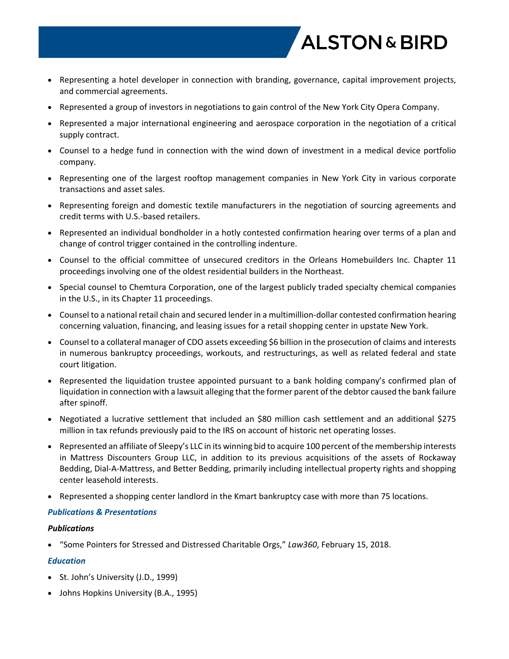

- Representing a hotel developer in connection with branding, governance, capital improvement projects, and commercial agreements.
- Represented a group of investors in negotiations to gain control of the New York City Opera Company.
- Represented a major international engineering and aerospace corporation in the negotiation of a critical supply contract.
- Counsel to a hedge fund in connection with the wind down of investment in a medical device portfolio company.
- Representing one of the largest rooftop management companies in New York City in various corporate transactions and asset sales.
- Representing foreign and domestic textile manufacturers in the negotiation of sourcing agreements and credit terms with U.S.-based retailers.
- Represented an individual bondholder in a hotly contested confirmation hearing over terms of a plan and change of control trigger contained in the controlling indenture.
- Counsel to the official committee of unsecured creditors in the Orleans Homebuilders Inc. Chapter 11 proceedings involving one of the oldest residential builders in the Northeast.
- Special counsel to Chemtura Corporation, one of the largest publicly traded specialty chemical companies in the U.S., in its Chapter 11 proceedings.
- Counsel to a national retail chain and secured lender in a multimillion-dollar contested confirmation hearing concerning valuation, financing, and leasing issues for a retail shopping center in upstate New York.
- Counsel to a collateral manager of CDO assets exceeding \$6 billion in the prosecution of claims and interests in numerous bankruptcy proceedings, workouts, and restructurings, as well as related federal and state court litigation.
- Represented the liquidation trustee appointed pursuant to a bank holding company's confirmed plan of liquidation in connection with a lawsuit alleging that the former parent of the debtor caused the bank failure after spinoff.
- Negotiated a lucrative settlement that included an \$80 million cash settlement and an additional \$275 million in tax refunds previously paid to the IRS on account of historic net operating losses.
- Represented an affiliate of Sleepy's LLC in its winning bid to acquire 100 percent of the membership interests in Mattress Discounters Group LLC, in addition to its previous acquisitions of the assets of Rockaway Bedding, Dial-A-Mattress, and Better Bedding, primarily including intellectual property rights and shopping center leasehold interests.
- Represented a shopping center landlord in the Kmart bankruptcy case with more than 75 locations.

#### *Publications & Presentations*

#### *Publications*

"Some Pointers for Stressed and Distressed Charitable Orgs," *Law360*, February 15, 2018.

### *Education*

- St. John's University (J.D., 1999)
- Johns Hopkins University (B.A., 1995)